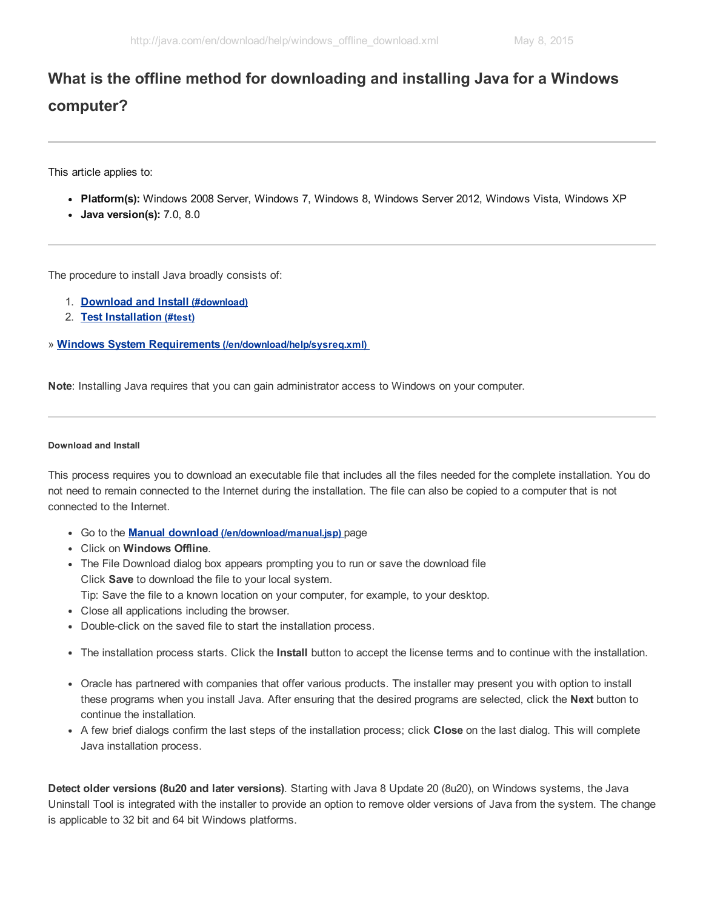## What is the offline method for downloading and installing Java for a Windows computer?

This article applies to:

- Platform(s): Windows 2008 Server, Windows 7, Windows 8, Windows Server 2012, Windows Vista, Windows XP
- Java version(s): 7.0, 8.0

The procedure to install Java broadly consists of:

- 1. [Download](#page-0-0) and Install (#download)
- 2. Test [Installation](#page-1-0) (#test)
- » Windows System Requirements [\(/en/download/help/sysreq.xml\)](http://java.com/en/download/help/sysreq.xml)

Note: Installing Java requires that you can gain administrator access to Windows on your computer.

## <span id="page-0-0"></span>Download and Install

This process requires you to download an executable file that includes all the files needed for the complete installation. You do not need to remain connected to the Internet during the installation. The file can also be copied to a computer that is not connected to the Internet.

- Go to the Manual download [\(/en/download/manual.jsp\)](http://java.com/en/download/manual.jsp) page
- Click on Windows Offline.
- The File Download dialog box appears prompting you to run or save the download file Click Save to download the file to your local system.
	- Tip: Save the file to a known location on your computer, for example, to your desktop.
- Close all applications including the browser.
- Double-click on the saved file to start the installation process.
- The installation process starts. Click the Install button to accept the license terms and to continue with the installation.
- Oracle has partnered with companies that offer various products. The installer may present you with option to install these programs when you install Java. After ensuring that the desired programs are selected, click the **Next** button to continue the installation.
- A few brief dialogs confirm the last steps of the installation process; click Close on the last dialog. This will complete Java installation process.

Detect older versions (8u20 and later versions). Starting with Java 8 Update 20 (8u20), on Windows systems, the Java Uninstall Tool is integrated with the installer to provide an option to remove older versions of Java from the system. The change is applicable to 32 bit and 64 bit Windows platforms.